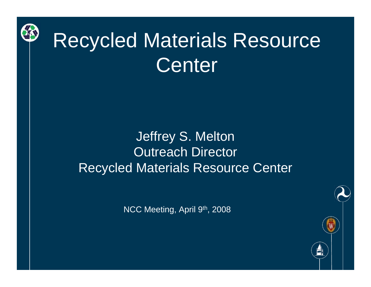

# Recycled Materials Resource **Center**

#### Jeffrey S. Melton Outreach Director Recycled Materials Resource Center

NCC Meeting, April 9th, 2008

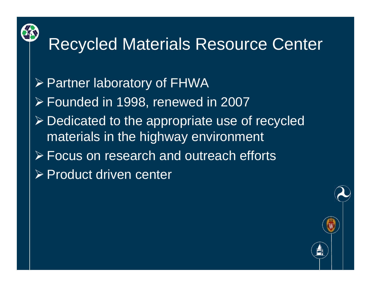

## Recycled Materials Resource Center

- ¾ Partner laboratory of FHWA
- ¾ Founded in 1998, renewed in 2007
- ¾ Dedicated to the appropriate use of recycled materials in the highway environment
- ¾ Focus on research and outreach efforts
- ¾ Product driven center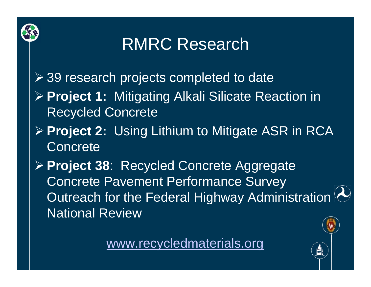

### RMRC Research

- ¾ 39 research projects completed to date
- ¾ **Project 1:** Mitigating Alkali Silicate Reaction in Recycled Concrete
- ¾ **Project 2:** Using Lithium to Mitigate ASR in RCA **Concrete**
- ¾ **Project 38**: Recycled Concrete Aggregate Concrete Pavement Performance Survey Outreach for the Federal Highway Administration National Review

[www.recycledmaterials.org](http://www.recycledmaterials.org/)

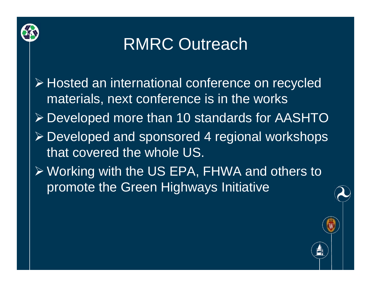

## RMRC Outreach

- ¾ Hosted an international conference on recycled materials, next conference is in the works
- ¾ Developed more than 10 standards for AASHTO
- ¾ Developed and sponsored 4 regional workshops that covered the whole US.
- ¾ Working with the US EPA, FHWA and others to promote the Green Highways Initiative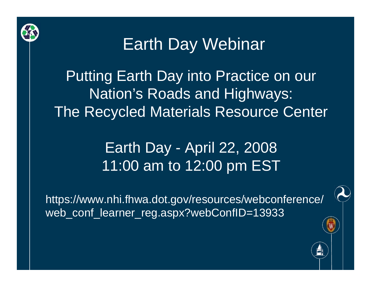

### Earth Day Webinar

Putting Earth Day into Practice on our Nation's Roads and Highways: The Recycled Materials Resource Center

#### Earth Day - April 22, 2008 11:00 am to 12:00 pm EST

https://www.nhi.fhwa.dot.gov/resources/webconference/ web conf learner reg.aspx?webConfID=13933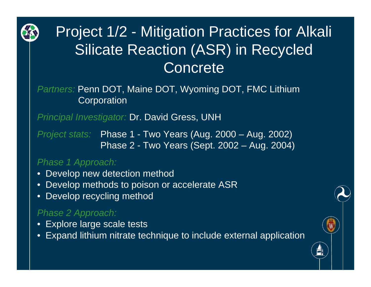

#### Project 1/2 - Mitigation Practices for Alkali Silicate Reaction (ASR) in Recycled **Concrete**

#### *Partners:* Penn DOT, Maine DOT, Wyoming DOT, FMC Lithium **Corporation**

*Principal Investigator:* Dr. David Gress, UNH

*Project stats:* Phase 1 - Two Years (Aug. 2000 – Aug. 2002) Phase 2 - Two Years (Sept. 2002 – Aug. 2004)

#### *Phase 1 Approach:*

- Develop new detection method
- •Develop methods to poison or accelerate ASR
- •Develop recycling method

#### *Phase 2 Approach:*

- Explore large scale tests
- •Expand lithium nitrate technique to include external application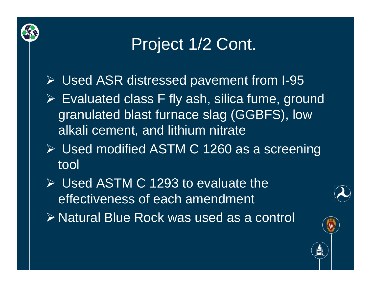

# Project 1/2 Cont.

- ¾ Used ASR distressed pavement from I-95
- ¾ Evaluated class F fly ash, silica fume, ground granulated blast furnace slag (GGBFS), low alkali cement, and lithium nitrate
- ¾ Used modified ASTM C 1260 as a screening tool
- $\triangleright$  Used ASTM C 1293 to evaluate the effectiveness of each amendment
- ¾ Natural Blue Rock was used as a control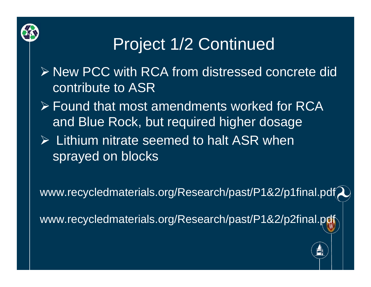

# Project 1/2 Continued

- ¾ New PCC with RCA from distressed concrete did contribute to ASR
- $\triangleright$  Found that most amendments worked for RCA and Blue Rock, but required higher dosage
- $\triangleright$  Lithium nitrate seemed to halt ASR when sprayed on blocks

www.recycledmaterials.org/Research/past/P1&2/p1final.pdf

www.recycledmaterials.org/Research/past/P1&2/p2final.pdf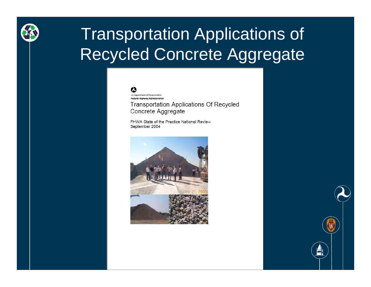

# Transportation Applications of Recycled Concrete Aggregate

**US Department of Transportation** Federal Highway Administration

**Transportation Applications Of Recycled** Concrete Aggregate

FHWA State of the Practice National Review September 2004



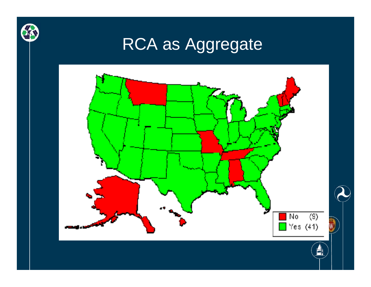

# RCA as Aggregate

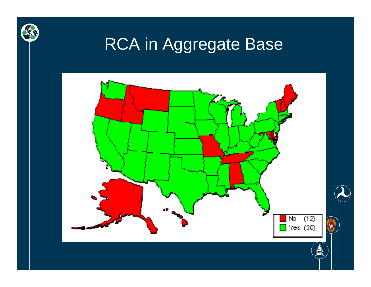

### RCA in Aggregate Base

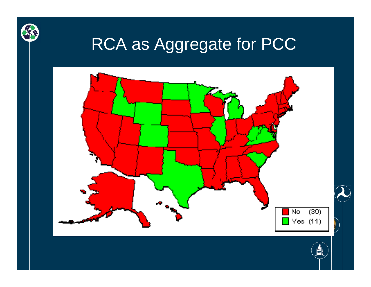

### RCA as Aggregate for PCC



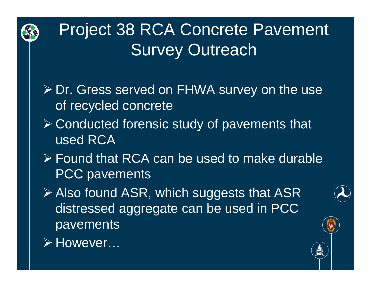

# Project 38 RCA Concrete Pavement Survey Outreach

- ¾ Dr. Gress served on FHWA survey on the use of recycled concrete
- ¾ Conducted forensic study of pavements that used RCA
- ¾ Found that RCA can be used to make durable PCC pavements
- ¾ Also found ASR, which suggests that ASR distressed aggregate can be used in PCC pavements

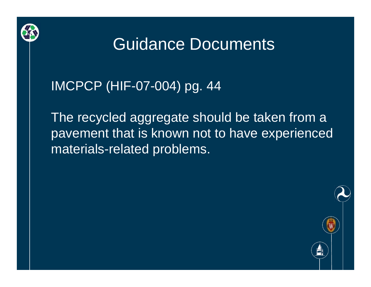

#### Guidance Documents

#### IMCPCP (HIF-07-004) pg. 44

The recycled aggregate should be taken from a pavement that is known not to have experienced materials-related problems.

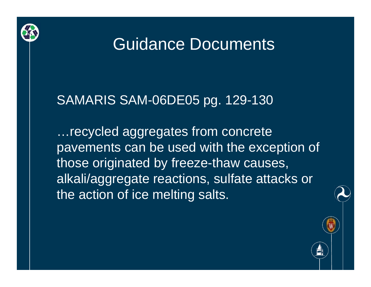

#### Guidance Documents

#### SAMARIS SAM-06DE05 pg. 129-130

…recycled aggregates from concrete pavements can be used with the exception of those originated by freeze-thaw causes, alkali/aggregate reactions, sulfate attacks or the action of ice melting salts.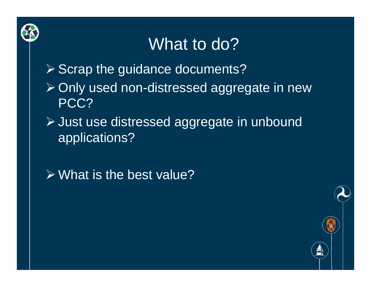

# What to do?

- ¾ Scrap the guidance documents?
- ¾ Only used non-distressed aggregate in new PCC?
- ¾ Just use distressed aggregate in unbound applications?
- $\triangleright$  What is the best value?

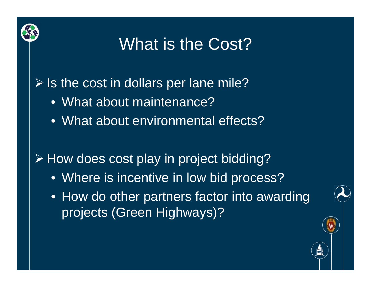

# What is the Cost?

- $\triangleright$  Is the cost in dollars per lane mile?
	- What about maintenance?
	- What about environmental effects?

¾ How does cost play in project bidding?

- Where is incentive in low bid process?
- How do other partners factor into awarding projects (Green Highways)?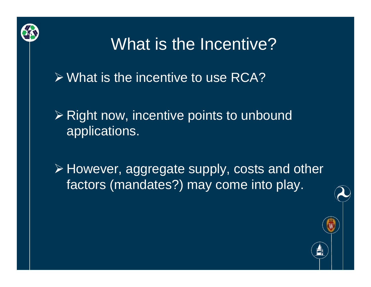

## What is the Incentive?

 $\triangleright$  What is the incentive to use RCA?

¾ Right now, incentive points to unbound applications.

¾ However, aggregate supply, costs and other factors (mandates?) may come into play.

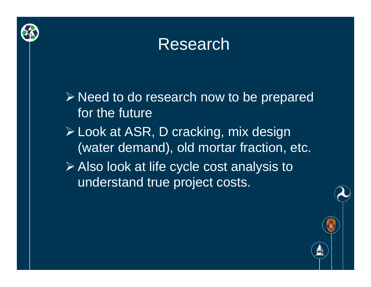



¾ Need to do research now to be prepared for the future¾ Look at ASR, D cracking, mix design

(water demand), old mortar fraction, etc.

¾ Also look at life cycle cost analysis to understand true project costs.

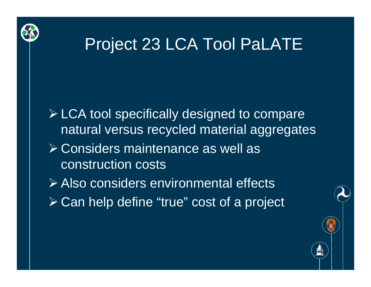

## Project 23 LCA Tool PaLATE

¾ LCA tool specifically designed to compare natural versus recycled material aggregates

¾ Considers maintenance as well as construction costs

¾ Also considers environmental effects ¾ Can help define "true" cost of a project

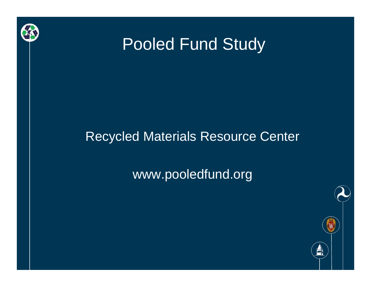

#### Pooled Fund Study

#### Recycled Materials Resource Center

www.pooledfund.org